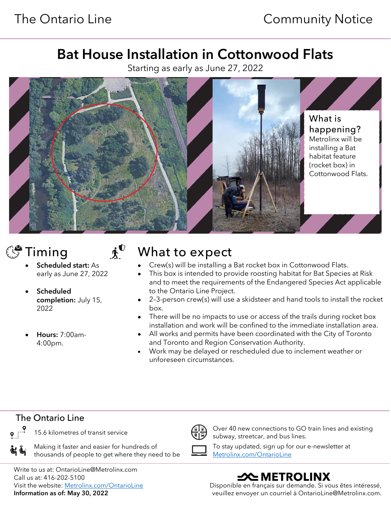# Bat House Installation in Cottonwood Flats

Starting as early as June 27, 2022





- **Scheduled** completion: July 15, 2022
- Hours: 7:00am-4:00pm.

# $\mathbb{S}^{\bullet}$  Timing  $\mathbf{A}^{\bullet}$  What to expect

- Crew(s) will be installing a Bat rocket box in Cottonwood Flats.
- This box is intended to provide roosting habitat for Bat Species at Risk and to meet the requirements of the Endangered Species Act applicable to the Ontario Line Project.
- 2–3-person crew(s) will use a skidsteer and hand tools to install the rocket box.
- There will be no impacts to use or access of the trails during rocket box installation and work will be confined to the immediate installation area.
- All works and permits have been coordinated with the City of Toronto and Toronto and Region Conservation Authority.
- Work may be delayed or rescheduled due to inclement weather or unforeseen circumstances.

### The Ontario Line

只了

 $\bullet$   $\cdot$ 

Making it faster and easier for hundreds of thousands of people to get where they need to be

15.6 kilometres of transit service  $\overbrace{\mathbb{R}|\mathbb{R}}$  Over 40 new connections to GO train lines and existing subway, streetcar, and bus lines. To stay updated, sign up for our e-newsletter at

[Metrolinx.com/OntarioLine](http://metrolinx.com/ontarioline)

 Write to us at: OntarioLine@Metrolinx.com Call us at: 416-202-5100 Visit the website: [Metrolinx.com/OntarioLine](http://metrolinx.com/ontarioline) Information as of: May 30, 2022

**SAMETROLINX** 

Disponible en français sur demande. Si vous êtes intéressé, veuillez envoyer un courriel à OntarioLine@Metrolinx.com.